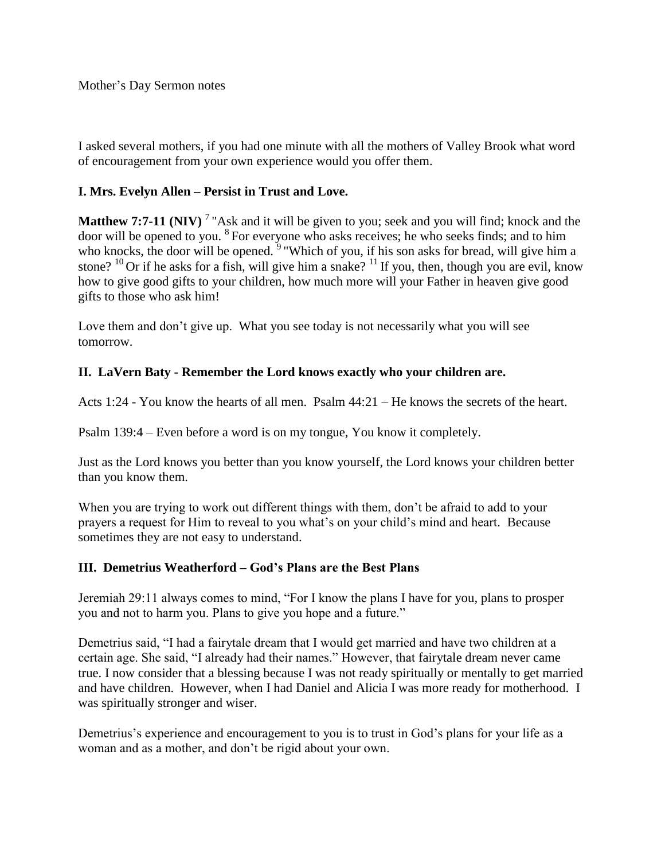I asked several mothers, if you had one minute with all the mothers of Valley Brook what word of encouragement from your own experience would you offer them.

## **I. Mrs. Evelyn Allen – Persist in Trust and Love.**

**Matthew 7:7-11 (NIV)** <sup>7</sup> "Ask and it will be given to you; seek and you will find; knock and the door will be opened to you. <sup>8</sup>For everyone who asks receives; he who seeks finds; and to him who knocks, the door will be opened.  $9$  "Which of you, if his son asks for bread, will give him a stone? <sup>10</sup> Or if he asks for a fish, will give him a snake? <sup>11</sup> If you, then, though you are evil, know how to give good gifts to your children, how much more will your Father in heaven give good gifts to those who ask him!

Love them and don't give up. What you see today is not necessarily what you will see tomorrow.

## **II. LaVern Baty - Remember the Lord knows exactly who your children are.**

Acts 1:24 - You know the hearts of all men. Psalm 44:21 – He knows the secrets of the heart.

Psalm 139:4 – Even before a word is on my tongue, You know it completely.

Just as the Lord knows you better than you know yourself, the Lord knows your children better than you know them.

When you are trying to work out different things with them, don't be afraid to add to your prayers a request for Him to reveal to you what's on your child's mind and heart. Because sometimes they are not easy to understand.

## **III. Demetrius Weatherford – God's Plans are the Best Plans**

Jeremiah 29:11 always comes to mind, "For I know the plans I have for you, plans to prosper you and not to harm you. Plans to give you hope and a future."

Demetrius said, "I had a fairytale dream that I would get married and have two children at a certain age. She said, "I already had their names." However, that fairytale dream never came true. I now consider that a blessing because I was not ready spiritually or mentally to get married and have children. However, when I had Daniel and Alicia I was more ready for motherhood. I was spiritually stronger and wiser.

Demetrius's experience and encouragement to you is to trust in God's plans for your life as a woman and as a mother, and don't be rigid about your own.